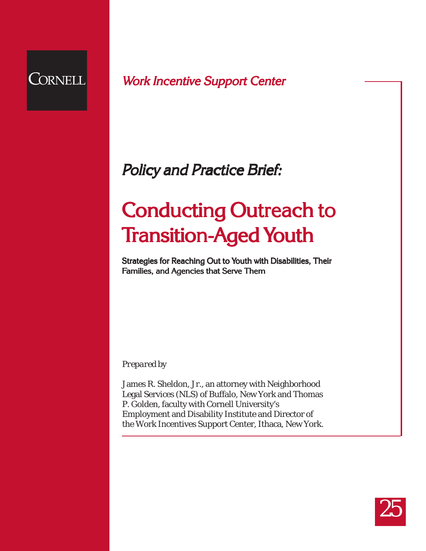

Work Incentive Support Center

# Policy and Practice Brief:

# **Conducting Outreach to Transition-Aged Youth**

Strategies for Reaching Out to Youth with Disabilities, Their<br>Families, and Agencies that Serve Them Families, and Agencies that Serve Them

*Prepared by*

James R. Sheldon, Jr., an attorney with Neighborhood Legal Services (NLS) of Buffalo, New York and Thomas P. Golden, faculty with Cornell University's Employment and Disability Institute and Director of the Work Incentives Support Center, Ithaca, New York.

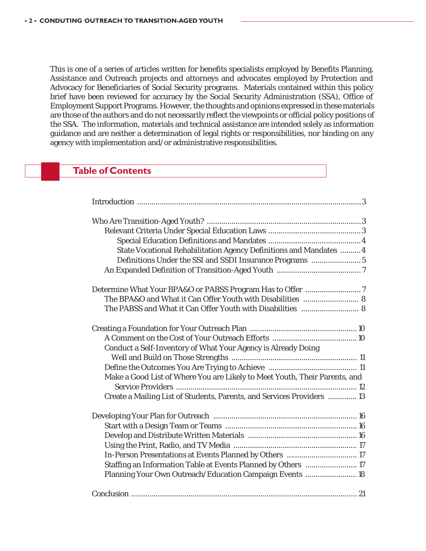This is one of a series of articles written for benefits specialists employed by Benefits Planning, Assistance and Outreach projects and attorneys and advocates employed by Protection and Advocacy for Beneficiaries of Social Security programs. Materials contained within this policy brief have been reviewed for accuracy by the Social Security Administration (SSA), Office of Employment Support Programs. However, the thoughts and opinions expressed in these materials are those of the authors and do not necessarily reflect the viewpoints or official policy positions of the SSA. The information, materials and technical assistance are intended solely as information guidance and are neither a determination of legal rights or responsibilities, nor binding on any agency with implementation and/or administrative responsibilities.

# **Table of Contents**

| State Vocational Rehabilitation Agency Definitions and Mandates  4         |  |
|----------------------------------------------------------------------------|--|
| Definitions Under the SSI and SSDI Insurance Programs  5                   |  |
|                                                                            |  |
|                                                                            |  |
| The BPA&O and What it Can Offer Youth with Disabilities  8                 |  |
| The PABSS and What it Can Offer Youth with Disabilities  8                 |  |
|                                                                            |  |
|                                                                            |  |
| Conduct a Self-Inventory of What Your Agency is Already Doing              |  |
|                                                                            |  |
|                                                                            |  |
| Make a Good List of Where You are Likely to Meet Youth, Their Parents, and |  |
|                                                                            |  |
| Create a Mailing List of Students, Parents, and Services Providers  13     |  |
|                                                                            |  |
|                                                                            |  |
|                                                                            |  |
|                                                                            |  |
| In-Person Presentations at Events Planned by Others  17                    |  |
| Staffing an Information Table at Events Planned by Others  17              |  |
| Planning Your Own Outreach/Education Campaign Events  18                   |  |
|                                                                            |  |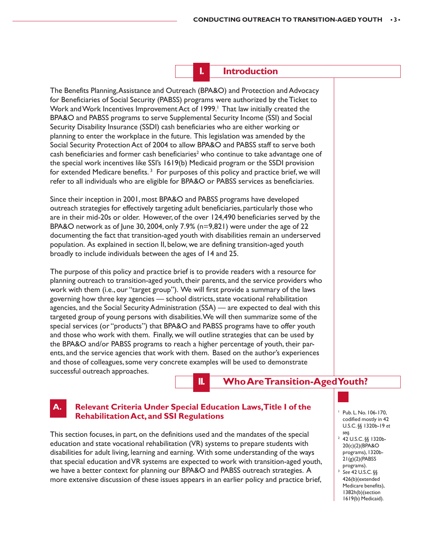**I. Introduction**

The Benefits Planning, Assistance and Outreach (BPA&O) and Protection and Advocacy for Beneficiaries of Social Security (PABSS) programs were authorized by the Ticket to Work and Work Incentives Improvement Act of 1999.<sup>1</sup> That law initially created the BPA&O and PABSS programs to serve Supplemental Security Income (SSI) and Social Security Disability Insurance (SSDI) cash beneficiaries who are either working or planning to enter the workplace in the future. This legislation was amended by the Social Security Protection Act of 2004 to allow BPA&O and PABSS staff to serve both cash beneficiaries and former cash beneficiaries<sup>2</sup> who continue to take advantage one of the special work incentives like SSI's 1619(b) Medicaid program or the SSDI provision for extended Medicare benefits.<sup>3</sup> For purposes of this policy and practice brief, we will refer to all individuals who are eligible for BPA&O or PABSS services as beneficiaries.

Since their inception in 2001, most BPA&O and PABSS programs have developed outreach strategies for effectively targeting adult beneficiaries, particularly those who are in their mid-20s or older. However, of the over 124,490 beneficiaries served by the BPA&O network as of June 30, 2004, only 7.9%  $(n=9,821)$  were under the age of 22 documenting the fact that transition-aged youth with disabilities remain an underserved population. As explained in section II, below, we are defining transition-aged youth broadly to include individuals between the ages of 14 and 25.

The purpose of this policy and practice brief is to provide readers with a resource for planning outreach to transition-aged youth, their parents, and the service providers who work with them (i.e., our "target group"). We will first provide a summary of the laws governing how three key agencies — school districts, state vocational rehabilitation agencies, and the Social Security Administration (SSA) — are expected to deal with this targeted group of young persons with disabilities. We will then summarize some of the special services (or "products") that BPA&O and PABSS programs have to offer youth and those who work with them. Finally, we will outline strategies that can be used by the BPA&O and/or PABSS programs to reach a higher percentage of youth, their parents, and the service agencies that work with them. Based on the author's experiences and those of colleagues, some very concrete examples will be used to demonstrate successful outreach approaches.

**II. Who Are Transition-Aged Youth?**

# **A. Relevant Criteria Under Special Education Laws, Title I of the Rehabilitation Act, and SSI Regulations**

This section focuses, in part, on the definitions used and the mandates of the special education and state vocational rehabilitation (VR) systems to prepare students with disabilities for adult living, learning and earning. With some understanding of the ways that special education and VR systems are expected to work with transition-aged youth, we have a better context for planning our BPA&O and PABSS outreach strategies. A more extensive discussion of these issues appears in an earlier policy and practice brief,

- <sup>1</sup> Pub. L. No. 106-170, codified mostly in 42 U.S.C. §§ 1320b-19 *et seq.*
- 2 42 U.S.C. §§ 1320b-20(c)(2)(BPA&O programs), 1320b- $21(g)(2)$ (PABSS programs).
- <sup>3</sup> *See* 42 U.S.C. §§ 426(b)(extended Medicare benefits), 1382h(b)(section 1619(b) Medicaid).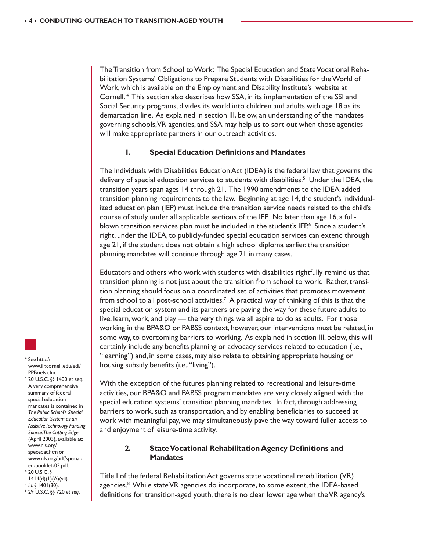The Transition from School to Work: The Special Education and State Vocational Rehabilitation Systems' Obligations to Prepare Students with Disabilities for the World of Work, which is available on the Employment and Disability Institute's website at Cornell. 4 This section also describes how SSA, in its implementation of the SSI and Social Security programs, divides its world into children and adults with age 18 as its demarcation line. As explained in section III, below, an understanding of the mandates governing schools, VR agencies, and SSA may help us to sort out when those agencies will make appropriate partners in our outreach activities.

#### **1. Special Education Definitions and Mandates**

The Individuals with Disabilities Education Act (IDEA) is the federal law that governs the delivery of special education services to students with disabilities.<sup>5</sup> Under the IDEA, the transition years span ages 14 through 21. The 1990 amendments to the IDEA added transition planning requirements to the law. Beginning at age 14, the student's individualized education plan (IEP) must include the transition service needs related to the child's course of study under all applicable sections of the IEP. No later than age 16, a fullblown transition services plan must be included in the student's IEP.<sup>6</sup> Since a student's right, under the IDEA, to publicly-funded special education services can extend through age 21, if the student does not obtain a high school diploma earlier, the transition planning mandates will continue through age 21 in many cases.

Educators and others who work with students with disabilities rightfully remind us that transition planning is not just about the transition from school to work. Rather, transition planning should focus on a coordinated set of activities that promotes movement from school to all post-school activities.<sup>7</sup> A practical way of thinking of this is that the special education system and its partners are paving the way for these future adults to live, learn, work, and play — the very things we all aspire to do as adults. For those working in the BPA&O or PABSS context, however, our interventions must be related, in some way, to overcoming barriers to working. As explained in section III, below, this will certainly include any benefits planning or advocacy services related to education (i.e., "learning") and, in some cases, may also relate to obtaining appropriate housing or housing subsidy benefits (i.e., "living").

With the exception of the futures planning related to recreational and leisure-time activities, our BPA&O and PABSS program mandates are very closely aligned with the special education systems' transition planning mandates. In fact, through addressing barriers to work, such as transportation, and by enabling beneficiaries to succeed at work with meaningful pay, we may simultaneously pave the way toward fuller access to and enjoyment of leisure-time activity.

# **2. State Vocational Rehabilitation Agency Definitions and Mandates**

Title I of the federal Rehabilitation Act governs state vocational rehabilitation (VR) agencies.<sup>8</sup> While state VR agencies do incorporate, to some extent, the IDEA-based definitions for transition-aged youth, there is no clear lower age when the VR agency's

4 See http:// www.ilr.cornell.edu/edi/ PPBriefs.cfm.

5 20 U.S.C. §§ 1400 et seq. A very comprehensive summary of federal special education mandates is contained in *The Public School's Special Education System as an Assistive Technology Funding Source: The Cutting Edge* (April 2003), available at: www.nls.org/ specedat.htm or www.nls.org/pdf/specialed-booklet-03.pdf.  $6$  20 U.S.C. §

- 1414(d)(1)(A)(vii). <sup>7</sup> *Id.* § 1401(30). 8
- 
- 29 U.S.C. §§ 720 *et seq*.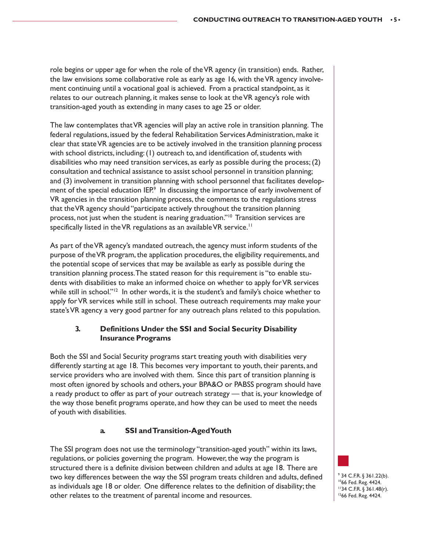role begins or upper age for when the role of the VR agency (in transition) ends. Rather, the law envisions some collaborative role as early as age 16, with the VR agency involvement continuing until a vocational goal is achieved. From a practical standpoint, as it relates to our outreach planning, it makes sense to look at the VR agency's role with transition-aged youth as extending in many cases to age 25 or older.

The law contemplates that VR agencies will play an active role in transition planning. The federal regulations, issued by the federal Rehabilitation Services Administration, make it clear that state VR agencies are to be actively involved in the transition planning process with school districts, including: (1) outreach to, and identification of, students with disabilities who may need transition services, as early as possible during the process; (2) consultation and technical assistance to assist school personnel in transition planning; and (3) involvement in transition planning with school personnel that facilitates development of the special education IEP.<sup>9</sup> In discussing the importance of early involvement of VR agencies in the transition planning process, the comments to the regulations stress that the VR agency should "participate actively throughout the transition planning process, not just when the student is nearing graduation."<sup>10</sup> Transition services are specifically listed in the VR regulations as an available VR service.<sup>11</sup>

As part of the VR agency's mandated outreach, the agency must inform students of the purpose of the VR program, the application procedures, the eligibility requirements, and the potential scope of services that may be available as early as possible during the transition planning process. The stated reason for this requirement is "to enable students with disabilities to make an informed choice on whether to apply for VR services while still in school."<sup>12</sup> In other words, it is the student's and family's choice whether to apply for VR services while still in school. These outreach requirements may make your state's VR agency a very good partner for any outreach plans related to this population.

# **3. Definitions Under the SSI and Social Security Disability Insurance Programs**

Both the SSI and Social Security programs start treating youth with disabilities very differently starting at age 18. This becomes very important to youth, their parents, and service providers who are involved with them. Since this part of transition planning is most often ignored by schools and others, your BPA&O or PABSS program should have a ready product to offer as part of your outreach strategy — that is, your knowledge of the way those benefit programs operate, and how they can be used to meet the needs of youth with disabilities.

# **a. SSI and Transition-Aged Youth**

The SSI program does not use the terminology "transition-aged youth" within its laws, regulations, or policies governing the program. However, the way the program is structured there is a definite division between children and adults at age 18. There are two key differences between the way the SSI program treats children and adults, defined as individuals age 18 or older. One difference relates to the definition of disability; the other relates to the treatment of parental income and resources.

9 34 C.F.R. § 361.22(b). 1066 Fed. Reg. 4424. 1134 C.F.R. § 361.48(r). 1266 Fed. Reg. 4424.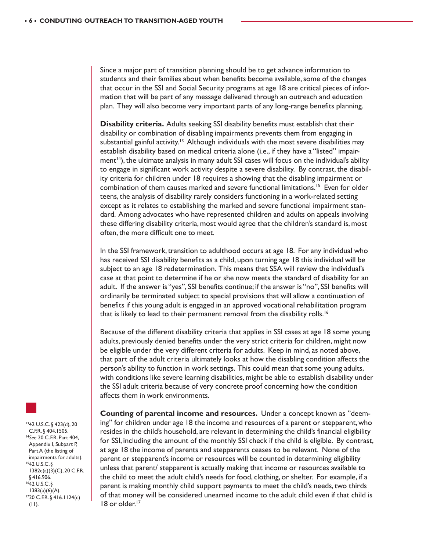Since a major part of transition planning should be to get advance information to students and their families about when benefits become available, some of the changes that occur in the SSI and Social Security programs at age 18 are critical pieces of information that will be part of any message delivered through an outreach and education plan. They will also become very important parts of any long-range benefits planning.

**Disability criteria.** Adults seeking SSI disability benefits must establish that their disability or combination of disabling impairments prevents them from engaging in substantial gainful activity.<sup>13</sup> Although individuals with the most severe disabilities may establish disability based on medical criteria alone (i.e., if they have a "listed" impairment $14$ ), the ultimate analysis in many adult SSI cases will focus on the individual's ability to engage in significant work activity despite a severe disability. By contrast, the disability criteria for children under 18 requires a showing that the disabling impairment or combination of them causes marked and severe functional limitations.15 Even for older teens, the analysis of disability rarely considers functioning in a work-related setting except as it relates to establishing the marked and severe functional impairment standard. Among advocates who have represented children and adults on appeals involving these differing disability criteria, most would agree that the children's standard is, most often, the more difficult one to meet.

In the SSI framework, transition to adulthood occurs at age 18. For any individual who has received SSI disability benefits as a child, upon turning age 18 this individual will be subject to an age 18 redetermination. This means that SSA will review the individual's case at that point to determine if he or she now meets the standard of disability for an adult. If the answer is "yes", SSI benefits continue; if the answer is "no", SSI benefits will ordinarily be terminated subject to special provisions that will allow a continuation of benefits if this young adult is engaged in an approved vocational rehabilitation program that is likely to lead to their permanent removal from the disability rolls.<sup>16</sup>

Because of the different disability criteria that applies in SSI cases at age 18 some young adults, previously denied benefits under the very strict criteria for children, might now be eligible under the very different criteria for adults. Keep in mind, as noted above, that part of the adult criteria ultimately looks at how the disabling condition affects the person's ability to function in work settings. This could mean that some young adults, with conditions like severe learning disabilities, might be able to establish disability under the SSI adult criteria because of very concrete proof concerning how the condition affects them in work environments.

**Counting of parental income and resources.** Under a concept known as "deeming" for children under age 18 the income and resources of a parent or stepparent, who resides in the child's household, are relevant in determining the child's financial eligibility for SSI, including the amount of the monthly SSI check if the child is eligible. By contrast, at age 18 the income of parents and stepparents ceases to be relevant. None of the parent or stepparent's income or resources will be counted in determining eligibility unless that parent/ stepparent is actually making that income or resources available to the child to meet the adult child's needs for food, clothing, or shelter. For example, if a parent is making monthly child support payments to meet the child's needs, two thirds of that money will be considered unearned income to the adult child even if that child is 18 or older.<sup>17</sup>

1342 U.S.C. § 423(d), 20 C.F.R. § 404.1505. <sup>14</sup>*See* 20 C.F.R. Part 404, Appendix I, Subpart P, Part A (the listing of impairments for adults). 1542 U.S.C. § 1382c(a)(3)(C), 20 C.F.R. § 416.906. 1642 U.S.C. § 1383(a)(6)(A). 1720 C.F.R. § 416.1124(c) (11).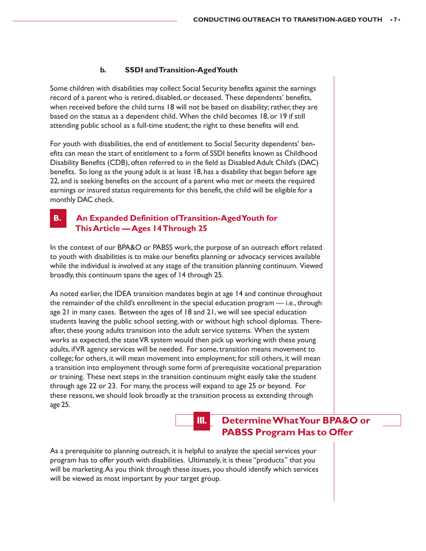#### **b. SSDI and Transition-Aged Youth**

Some children with disabilities may collect Social Security benefits against the earnings record of a parent who is retired, disabled, or deceased. These dependents' benefits, when received before the child turns 18 will not be based on disability; rather, they are based on the status as a dependent child. When the child becomes 18, or 19 if still attending public school as a full-time student, the right to these benefits will end.

For youth with disabilities, the end of entitlement to Social Security dependents' benefits can mean the start of entitlement to a form of SSDI benefits known as Childhood Disability Benefits (CDB), often referred to in the field as Disabled Adult Child's (DAC) benefits. So long as the young adult is at least 18, has a disability that began before age 22, and is seeking benefits on the account of a parent who met or meets the required earnings or insured status requirements for this benefit, the child will be eligible for a monthly DAC check.

# **B.** An Expanded Definition of Transition-Aged Youth for **This Article — Ages 14 Through 25**

In the context of our BPA&O or PABSS work, the purpose of an outreach effort related to youth with disabilities is to make our benefits planning or advocacy services available while the individual is involved at any stage of the transition planning continuum. Viewed broadly, this continuum spans the ages of 14 through 25.

As noted earlier, the IDEA transition mandates begin at age 14 and continue throughout the remainder of the child's enrollment in the special education program — i.e., through age 21 in many cases. Between the ages of 18 and 21, we will see special education students leaving the public school setting, with or without high school diplomas. Thereafter, these young adults transition into the adult service systems. When the system works as expected, the state VR system would then pick up working with these young adults, if VR agency services will be needed. For some, transition means movement to college; for others, it will mean movement into employment; for still others, it will mean a transition into employment through some form of prerequisite vocational preparation or training. These next steps in the transition continuum might easily take the student through age 22 or 23. For many, the process will expand to age 25 or beyond. For these reasons, we should look broadly at the transition process as extending through age 25.

# **III. Determine What Your BPA&O or PABSS Program Has to Offer**

As a prerequisite to planning outreach, it is helpful to analyze the special services your program has to offer youth with disabilities. Ultimately, it is these "products" that you will be marketing. As you think through these issues, you should identify which services will be viewed as most important by your target group.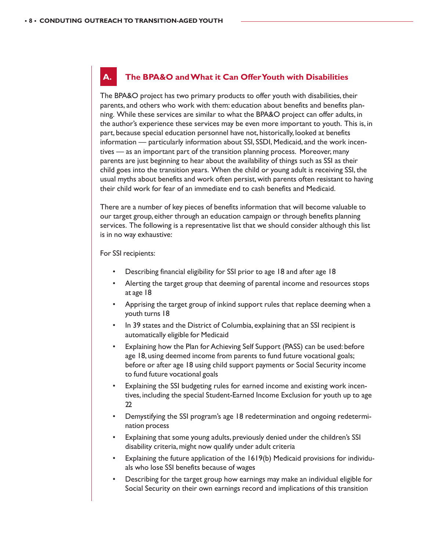# **A. The BPA&O and What it Can Offer Youth with Disabilities**

The BPA&O project has two primary products to offer youth with disabilities, their parents, and others who work with them: education about benefits and benefits planning. While these services are similar to what the BPA&O project can offer adults, in the author's experience these services may be even more important to youth. This is, in part, because special education personnel have not, historically, looked at benefits information — particularly information about SSI, SSDI, Medicaid, and the work incentives — as an important part of the transition planning process. Moreover, many parents are just beginning to hear about the availability of things such as SSI as their child goes into the transition years. When the child or young adult is receiving SSI, the usual myths about benefits and work often persist, with parents often resistant to having their child work for fear of an immediate end to cash benefits and Medicaid.

There are a number of key pieces of benefits information that will become valuable to our target group, either through an education campaign or through benefits planning services. The following is a representative list that we should consider although this list is in no way exhaustive:

For SSI recipients:

- Describing financial eligibility for SSI prior to age 18 and after age 18
- Alerting the target group that deeming of parental income and resources stops at age 18
- Apprising the target group of inkind support rules that replace deeming when a youth turns 18
- In 39 states and the District of Columbia, explaining that an SSI recipient is automatically eligible for Medicaid
- Explaining how the Plan for Achieving Self Support (PASS) can be used: before age 18, using deemed income from parents to fund future vocational goals; before or after age 18 using child support payments or Social Security income to fund future vocational goals
- Explaining the SSI budgeting rules for earned income and existing work incentives, including the special Student-Earned Income Exclusion for youth up to age 22
- Demystifying the SSI program's age 18 redetermination and ongoing redetermination process
- Explaining that some young adults, previously denied under the children's SSI disability criteria, might now qualify under adult criteria
- Explaining the future application of the 1619(b) Medicaid provisions for individuals who lose SSI benefits because of wages
- Describing for the target group how earnings may make an individual eligible for Social Security on their own earnings record and implications of this transition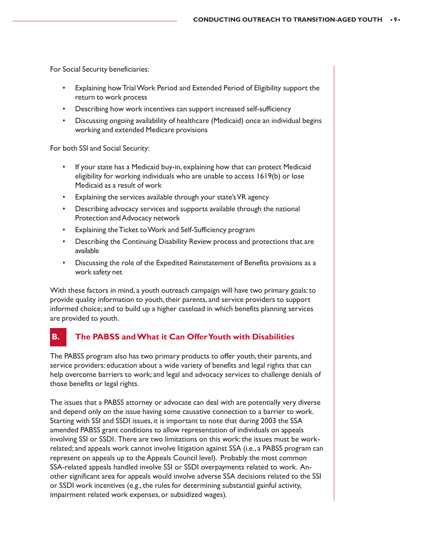For Social Security beneficiaries:

- Explaining how Trial Work Period and Extended Period of Eligibility support the return to work process
- Describing how work incentives can support increased self-sufficiency
- Discussing ongoing availability of healthcare (Medicaid) once an individual begins working and extended Medicare provisions

For both SSI and Social Security:

- If your state has a Medicaid buy-in, explaining how that can protect Medicaid eligibility for working individuals who are unable to access 1619(b) or lose Medicaid as a result of work
- Explaining the services available through your state's VR agency
- Describing advocacy services and supports available through the national Protection and Advocacy network
- Explaining the Ticket to Work and Self-Sufficiency program
- Describing the Continuing Disability Review process and protections that are available
- Discussing the role of the Expedited Reinstatement of Benefits provisions as a work safety net

With these factors in mind, a youth outreach campaign will have two primary goals: to provide quality information to youth, their parents, and service providers to support informed choice; and to build up a higher caseload in which benefits planning services are provided to youth.

# **B. The PABSS and What it Can Offer Youth with Disabilities**

The PABSS program also has two primary products to offer youth, their parents, and service providers: education about a wide variety of benefits and legal rights that can help overcome barriers to work; and legal and advocacy services to challenge denials of those benefits or legal rights.

The issues that a PABSS attorney or advocate can deal with are potentially very diverse and depend only on the issue having some causative connection to a barrier to work. Starting with SSI and SSDI issues, it is important to note that during 2003 the SSA amended PABSS grant conditions to allow representation of individuals on appeals involving SSI or SSDI. There are two limitations on this work: the issues must be workrelated; and appeals work cannot involve litigation against SSA (i.e., a PABSS program can represent on appeals up to the Appeals Council level). Probably the most common SSA-related appeals handled involve SSI or SSDI overpayments related to work. Another significant area for appeals would involve adverse SSA decisions related to the SSI or SSDI work incentives (e.g., the rules for determining substantial gainful activity, impairment related work expenses, or subsidized wages).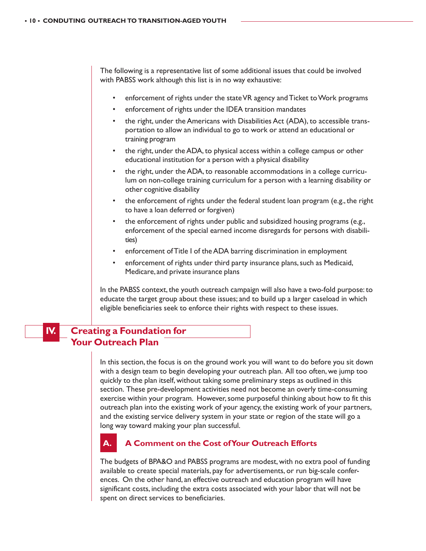The following is a representative list of some additional issues that could be involved with PABSS work although this list is in no way exhaustive:

- enforcement of rights under the state VR agency and Ticket to Work programs
- enforcement of rights under the IDEA transition mandates
- the right, under the Americans with Disabilities Act (ADA), to accessible transportation to allow an individual to go to work or attend an educational or training program
- the right, under the ADA, to physical access within a college campus or other educational institution for a person with a physical disability
- the right, under the ADA, to reasonable accommodations in a college curriculum on non-college training curriculum for a person with a learning disability or other cognitive disability
- the enforcement of rights under the federal student loan program (e.g., the right to have a loan deferred or forgiven)
- the enforcement of rights under public and subsidized housing programs (e.g., enforcement of the special earned income disregards for persons with disabilities)
- enforcement of Title I of the ADA barring discrimination in employment
- enforcement of rights under third party insurance plans, such as Medicaid, Medicare, and private insurance plans

In the PABSS context, the youth outreach campaign will also have a two-fold purpose: to educate the target group about these issues; and to build up a larger caseload in which eligible beneficiaries seek to enforce their rights with respect to these issues.

# **IV. Creating a Foundation for Your Outreach Plan**

In this section, the focus is on the ground work you will want to do before you sit down with a design team to begin developing your outreach plan. All too often, we jump too quickly to the plan itself, without taking some preliminary steps as outlined in this section. These pre-development activities need not become an overly time-consuming exercise within your program. However, some purposeful thinking about how to fit this outreach plan into the existing work of your agency, the existing work of your partners, and the existing service delivery system in your state or region of the state will go a long way toward making your plan successful.



# **A. A Comment on the Cost of Your Outreach Efforts**

The budgets of BPA&O and PABSS programs are modest, with no extra pool of funding available to create special materials, pay for advertisements, or run big-scale conferences. On the other hand, an effective outreach and education program will have significant costs, including the extra costs associated with your labor that will not be spent on direct services to beneficiaries.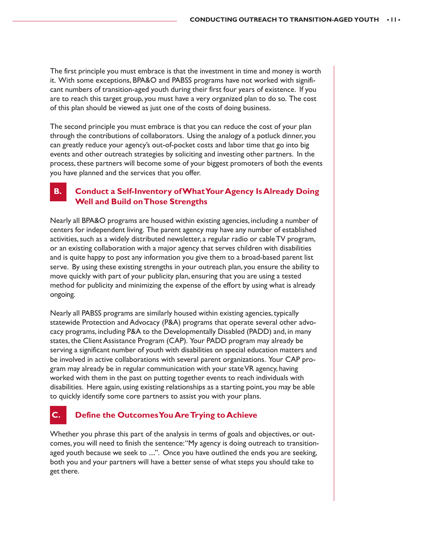The first principle you must embrace is that the investment in time and money is worth it. With some exceptions, BPA&O and PABSS programs have not worked with significant numbers of transition-aged youth during their first four years of existence. If you are to reach this target group, you must have a very organized plan to do so. The cost of this plan should be viewed as just one of the costs of doing business.

The second principle you must embrace is that you can reduce the cost of your plan through the contributions of collaborators. Using the analogy of a potluck dinner, you can greatly reduce your agency's out-of-pocket costs and labor time that go into big events and other outreach strategies by soliciting and investing other partners. In the process, these partners will become some of your biggest promoters of both the events you have planned and the services that you offer.

# **B. Conduct a Self-Inventory of What Your Agency Is Already Doing Well and Build on Those Strengths**

Nearly all BPA&O programs are housed within existing agencies, including a number of centers for independent living. The parent agency may have any number of established activities, such as a widely distributed newsletter, a regular radio or cable TV program, or an existing collaboration with a major agency that serves children with disabilities and is quite happy to post any information you give them to a broad-based parent list serve. By using these existing strengths in your outreach plan, you ensure the ability to move quickly with part of your publicity plan, ensuring that you are using a tested method for publicity and minimizing the expense of the effort by using what is already ongoing.

Nearly all PABSS programs are similarly housed within existing agencies, typically statewide Protection and Advocacy (P&A) programs that operate several other advocacy programs, including P&A to the Developmentally Disabled (PADD) and, in many states, the Client Assistance Program (CAP). Your PADD program may already be serving a significant number of youth with disabilities on special education matters and be involved in active collaborations with several parent organizations. Your CAP program may already be in regular communication with your state VR agency, having worked with them in the past on putting together events to reach individuals with disabilities. Here again, using existing relationships as a starting point, you may be able to quickly identify some core partners to assist you with your plans.

# **Define the Outcomes You Are Trying to Achieve**

Whether you phrase this part of the analysis in terms of goals and objectives, or outcomes, you will need to finish the sentence: "My agency is doing outreach to transitionaged youth because we seek to ....". Once you have outlined the ends you are seeking, both you and your partners will have a better sense of what steps you should take to get there.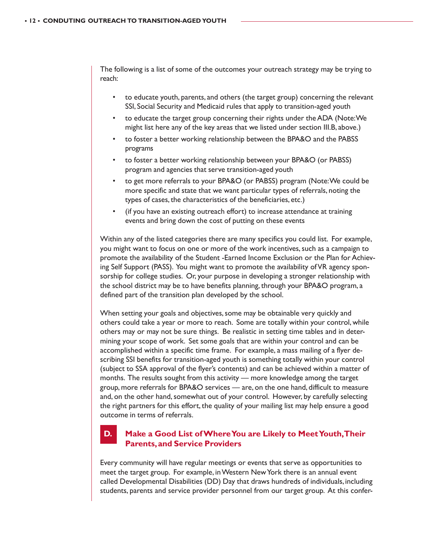The following is a list of some of the outcomes your outreach strategy may be trying to reach:

- to educate youth, parents, and others (the target group) concerning the relevant SSI, Social Security and Medicaid rules that apply to transition-aged youth
- to educate the target group concerning their rights under the ADA (Note: We might list here any of the key areas that we listed under section III.B, above.)
- to foster a better working relationship between the BPA&O and the PABSS programs
- to foster a better working relationship between your BPA&O (or PABSS) program and agencies that serve transition-aged youth
- to get more referrals to your BPA&O (or PABSS) program (Note: We could be more specific and state that we want particular types of referrals, noting the types of cases, the characteristics of the beneficiaries, etc.)
- (if you have an existing outreach effort) to increase attendance at training events and bring down the cost of putting on these events

Within any of the listed categories there are many specifics you could list. For example, you might want to focus on one or more of the work incentives, such as a campaign to promote the availability of the Student -Earned Income Exclusion or the Plan for Achieving Self Support (PASS). You might want to promote the availability of VR agency sponsorship for college studies. Or, your purpose in developing a stronger relationship with the school district may be to have benefits planning, through your BPA&O program, a defined part of the transition plan developed by the school.

When setting your goals and objectives, some may be obtainable very quickly and others could take a year or more to reach. Some are totally within your control, while others may or may not be sure things. Be realistic in setting time tables and in determining your scope of work. Set some goals that are within your control and can be accomplished within a specific time frame. For example, a mass mailing of a flyer describing SSI benefits for transition-aged youth is something totally within your control (subject to SSA approval of the flyer's contents) and can be achieved within a matter of months. The results sought from this activity — more knowledge among the target group, more referrals for BPA&O services — are, on the one hand, difficult to measure and, on the other hand, somewhat out of your control. However, by carefully selecting the right partners for this effort, the quality of your mailing list may help ensure a good outcome in terms of referrals.

# **D. Make a Good List of Where You are Likely to Meet Youth, Their Parents, and Service Providers**

Every community will have regular meetings or events that serve as opportunities to meet the target group. For example, in Western New York there is an annual event called Developmental Disabilities (DD) Day that draws hundreds of individuals, including students, parents and service provider personnel from our target group. At this confer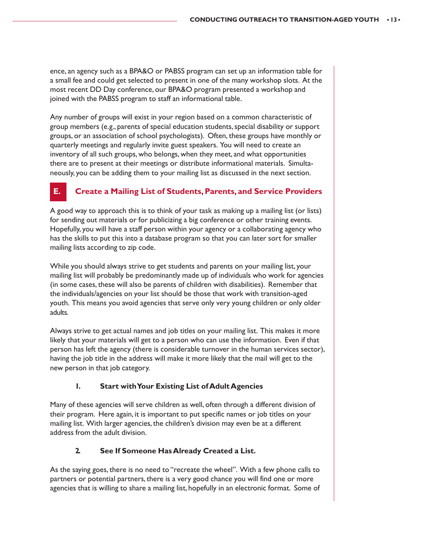ence, an agency such as a BPA&O or PABSS program can set up an information table for a small fee and could get selected to present in one of the many workshop slots. At the most recent DD Day conference, our BPA&O program presented a workshop and joined with the PABSS program to staff an informational table.

Any number of groups will exist in your region based on a common characteristic of group members (e.g., parents of special education students, special disability or support groups, or an association of school psychologists). Often, these groups have monthly or quarterly meetings and regularly invite guest speakers. You will need to create an inventory of all such groups, who belongs, when they meet, and what opportunities there are to present at their meetings or distribute informational materials. Simultaneously, you can be adding them to your mailing list as discussed in the next section.

# **E. Create a Mailing List of Students, Parents, and Service Providers**

A good way to approach this is to think of your task as making up a mailing list (or lists) for sending out materials or for publicizing a big conference or other training events. Hopefully, you will have a staff person within your agency or a collaborating agency who has the skills to put this into a database program so that you can later sort for smaller mailing lists according to zip code.

While you should always strive to get students and parents on your mailing list, your mailing list will probably be predominantly made up of individuals who work for agencies (in some cases, these will also be parents of children with disabilities). Remember that the individuals/agencies on your list should be those that work with transition-aged youth. This means you avoid agencies that serve only very young children or only older adults.

Always strive to get actual names and job titles on your mailing list. This makes it more likely that your materials will get to a person who can use the information. Even if that person has left the agency (there is considerable turnover in the human services sector), having the job title in the address will make it more likely that the mail will get to the new person in that job category.

# **1. Start with Your Existing List of Adult Agencies**

Many of these agencies will serve children as well, often through a different division of their program. Here again, it is important to put specific names or job titles on your mailing list. With larger agencies, the children's division may even be at a different address from the adult division.

# **2. See If Someone Has Already Created a List.**

As the saying goes, there is no need to "recreate the wheel". With a few phone calls to partners or potential partners, there is a very good chance you will find one or more agencies that is willing to share a mailing list, hopefully in an electronic format. Some of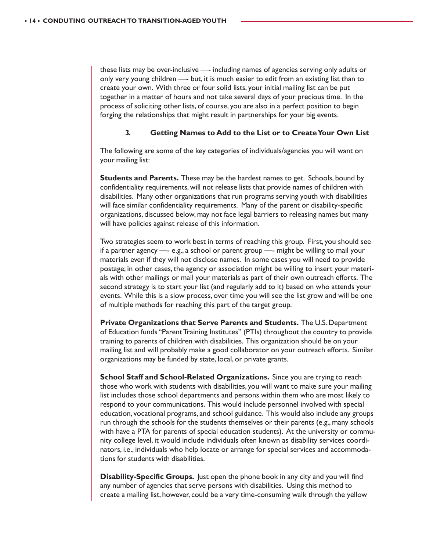these lists may be over-inclusive —- including names of agencies serving only adults or only very young children —- but, it is much easier to edit from an existing list than to create your own. With three or four solid lists, your initial mailing list can be put together in a matter of hours and not take several days of your precious time. In the process of soliciting other lists, of course, you are also in a perfect position to begin forging the relationships that might result in partnerships for your big events.

#### **3. Getting Names to Add to the List or to Create Your Own List**

The following are some of the key categories of individuals/agencies you will want on your mailing list:

**Students and Parents.** These may be the hardest names to get. Schools, bound by confidentiality requirements, will not release lists that provide names of children with disabilities. Many other organizations that run programs serving youth with disabilities will face similar confidentiality requirements. Many of the parent or disability-specific organizations, discussed below, may not face legal barriers to releasing names but many will have policies against release of this information.

Two strategies seem to work best in terms of reaching this group. First, you should see if a partner agency —- e.g., a school or parent group —- might be willing to mail your materials even if they will not disclose names. In some cases you will need to provide postage; in other cases, the agency or association might be willing to insert your materials with other mailings or mail your materials as part of their own outreach efforts. The second strategy is to start your list (and regularly add to it) based on who attends your events. While this is a slow process, over time you will see the list grow and will be one of multiple methods for reaching this part of the target group.

**Private Organizations that Serve Parents and Students.** The U.S. Department of Education funds "Parent Training Institutes" (PTIs) throughout the country to provide training to parents of children with disabilities. This organization should be on your mailing list and will probably make a good collaborator on your outreach efforts. Similar organizations may be funded by state, local, or private grants.

**School Staff and School-Related Organizations.** Since you are trying to reach those who work with students with disabilities, you will want to make sure your mailing list includes those school departments and persons within them who are most likely to respond to your communications. This would include personnel involved with special education, vocational programs, and school guidance. This would also include any groups run through the schools for the students themselves or their parents (e.g., many schools with have a PTA for parents of special education students). At the university or community college level, it would include individuals often known as disability services coordinators, i.e., individuals who help locate or arrange for special services and accommodations for students with disabilities.

**Disability-Specific Groups.** Just open the phone book in any city and you will find any number of agencies that serve persons with disabilities. Using this method to create a mailing list, however, could be a very time-consuming walk through the yellow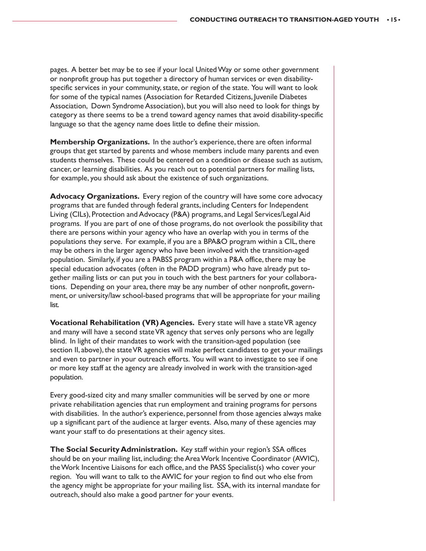pages. A better bet may be to see if your local United Way or some other government or nonprofit group has put together a directory of human services or even disabilityspecific services in your community, state, or region of the state. You will want to look for some of the typical names (Association for Retarded Citizens, Juvenile Diabetes Association, Down Syndrome Association), but you will also need to look for things by category as there seems to be a trend toward agency names that avoid disability-specific language so that the agency name does little to define their mission.

**Membership Organizations.** In the author's experience, there are often informal groups that get started by parents and whose members include many parents and even students themselves. These could be centered on a condition or disease such as autism, cancer, or learning disabilities. As you reach out to potential partners for mailing lists, for example, you should ask about the existence of such organizations.

**Advocacy Organizations.** Every region of the country will have some core advocacy programs that are funded through federal grants, including Centers for Independent Living (CILs), Protection and Advocacy (P&A) programs, and Legal Services/Legal Aid programs. If you are part of one of those programs, do not overlook the possibility that there are persons within your agency who have an overlap with you in terms of the populations they serve. For example, if you are a BPA&O program within a CIL, there may be others in the larger agency who have been involved with the transition-aged population. Similarly, if you are a PABSS program within a P&A office, there may be special education advocates (often in the PADD program) who have already put together mailing lists or can put you in touch with the best partners for your collaborations. Depending on your area, there may be any number of other nonprofit, government, or university/law school-based programs that will be appropriate for your mailing list.

**Vocational Rehabilitation (VR) Agencies.** Every state will have a state VR agency and many will have a second state VR agency that serves only persons who are legally blind. In light of their mandates to work with the transition-aged population (see section II, above), the state VR agencies will make perfect candidates to get your mailings and even to partner in your outreach efforts. You will want to investigate to see if one or more key staff at the agency are already involved in work with the transition-aged population.

Every good-sized city and many smaller communities will be served by one or more private rehabilitation agencies that run employment and training programs for persons with disabilities. In the author's experience, personnel from those agencies always make up a significant part of the audience at larger events. Also, many of these agencies may want your staff to do presentations at their agency sites.

**The Social Security Administration.** Key staff within your region's SSA offices should be on your mailing list, including: the Area Work Incentive Coordinator (AWIC), the Work Incentive Liaisons for each office, and the PASS Specialist(s) who cover your region. You will want to talk to the AWIC for your region to find out who else from the agency might be appropriate for your mailing list. SSA, with its internal mandate for outreach, should also make a good partner for your events.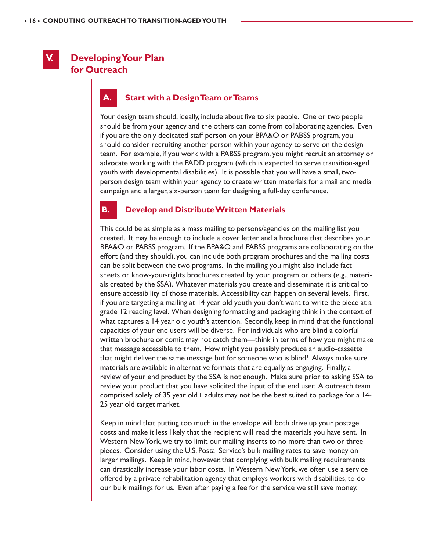# **V. Developing Your Plan for Outreach**

# **Start with a Design Team or Teams**

Your design team should, ideally, include about five to six people. One or two people should be from your agency and the others can come from collaborating agencies. Even if you are the only dedicated staff person on your BPA&O or PABSS program, you should consider recruiting another person within your agency to serve on the design team. For example, if you work with a PABSS program, you might recruit an attorney or advocate working with the PADD program (which is expected to serve transition-aged youth with developmental disabilities). It is possible that you will have a small, twoperson design team within your agency to create written materials for a mail and media campaign and a larger, six-person team for designing a full-day conference.

#### **B. Develop and Distribute Written Materials**

This could be as simple as a mass mailing to persons/agencies on the mailing list you created. It may be enough to include a cover letter and a brochure that describes your BPA&O or PABSS program. If the BPA&O and PABSS programs are collaborating on the effort (and they should), you can include both program brochures and the mailing costs can be split between the two programs. In the mailing you might also include fact sheets or know-your-rights brochures created by your program or others (e.g., materials created by the SSA). Whatever materials you create and disseminate it is critical to ensure accessibility of those materials. Accessibility can happen on several levels. First, if you are targeting a mailing at 14 year old youth you don't want to write the piece at a grade 12 reading level. When designing formatting and packaging think in the context of what captures a 14 year old youth's attention. Secondly, keep in mind that the functional capacities of your end users will be diverse. For individuals who are blind a colorful written brochure or comic may not catch them—think in terms of how you might make that message accessible to them. How might you possibly produce an audio-cassette that might deliver the same message but for someone who is blind? Always make sure materials are available in alternative formats that are equally as engaging. Finally, a review of your end product by the SSA is not enough. Make sure prior to asking SSA to review your product that you have solicited the input of the end user. A outreach team comprised solely of 35 year old+ adults may not be the best suited to package for a  $14$ -25 year old target market.

Keep in mind that putting too much in the envelope will both drive up your postage costs and make it less likely that the recipient will read the materials you have sent. In Western New York, we try to limit our mailing inserts to no more than two or three pieces. Consider using the U.S. Postal Service's bulk mailing rates to save money on larger mailings. Keep in mind, however, that complying with bulk mailing requirements can drastically increase your labor costs. In Western New York, we often use a service offered by a private rehabilitation agency that employs workers with disabilities, to do our bulk mailings for us. Even after paying a fee for the service we still save money.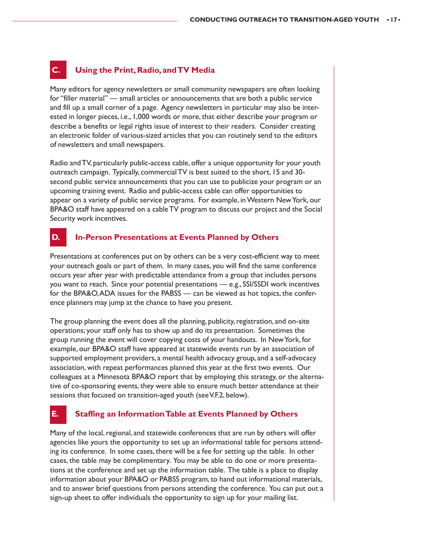# **C. Using the Print, Radio, and TV Media**

Many editors for agency newsletters or small community newspapers are often looking for "filler material" — small articles or announcements that are both a public service and fill up a small corner of a page. Agency newsletters in particular may also be interested in longer pieces, i.e., 1,000 words or more, that either describe your program or describe a benefits or legal rights issue of interest to their readers. Consider creating an electronic folder of various-sized articles that you can routinely send to the editors of newsletters and small newspapers.

Radio and TV, particularly public-access cable, offer a unique opportunity for your youth outreach campaign. Typically, commercial TV is best suited to the short, 15 and 30 second public service announcements that you can use to publicize your program or an upcoming training event. Radio and public-access cable can offer opportunities to appear on a variety of public service programs. For example, in Western New York, our BPA&O staff have appeared on a cable TV program to discuss our project and the Social Security work incentives.

# **D. In-Person Presentations at Events Planned by Others**

Presentations at conferences put on by others can be a very cost-efficient way to meet your outreach goals or part of them. In many cases, you will find the same conference occurs year after year with predictable attendance from a group that includes persons you want to reach. Since your potential presentations — e.g., SSI/SSDI work incentives for the BPA&O, ADA issues for the PABSS — can be viewed as hot topics, the conference planners may jump at the chance to have you present.

The group planning the event does all the planning, publicity, registration, and on-site operations; your staff only has to show up and do its presentation. Sometimes the group running the event will cover copying costs of your handouts. In New York, for example, our BPA&O staff have appeared at statewide events run by an association of supported employment providers, a mental health advocacy group, and a self-advocacy association, with repeat performances planned this year at the first two events. Our colleagues at a Minnesota BPA&O report that by employing this strategy, or the alternative of co-sponsoring events, they were able to ensure much better attendance at their sessions that focused on transition-aged youth (see V.F.2, below).

# **E. Staffing an Information Table at Events Planned by Others**

Many of the local, regional, and statewide conferences that are run by others will offer agencies like yours the opportunity to set up an informational table for persons attending its conference. In some cases, there will be a fee for setting up the table. In other cases, the table may be complimentary. You may be able to do one or more presentations at the conference and set up the information table. The table is a place to display information about your BPA&O or PABSS program, to hand out informational materials, and to answer brief questions from persons attending the conference. You can put out a sign-up sheet to offer individuals the opportunity to sign up for your mailing list.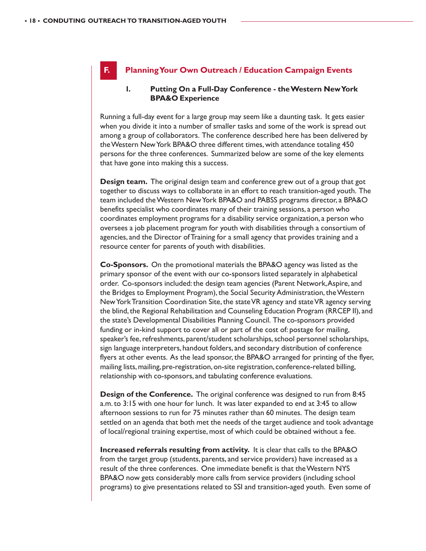# **F. Planning Your Own Outreach / Education Campaign Events**

# **1. Putting On a Full-Day Conference - the Western New York BPA&O Experience**

Running a full-day event for a large group may seem like a daunting task. It gets easier when you divide it into a number of smaller tasks and some of the work is spread out among a group of collaborators. The conference described here has been delivered by the Western New York BPA&O three different times, with attendance totaling 450 persons for the three conferences. Summarized below are some of the key elements that have gone into making this a success.

**Design team.** The original design team and conference grew out of a group that got together to discuss ways to collaborate in an effort to reach transition-aged youth. The team included the Western New York BPA&O and PABSS programs director, a BPA&O benefits specialist who coordinates many of their training sessions, a person who coordinates employment programs for a disability service organization, a person who oversees a job placement program for youth with disabilities through a consortium of agencies, and the Director of Training for a small agency that provides training and a resource center for parents of youth with disabilities.

**Co-Sponsors.** On the promotional materials the BPA&O agency was listed as the primary sponsor of the event with our co-sponsors listed separately in alphabetical order. Co-sponsors included: the design team agencies (Parent Network, Aspire, and the Bridges to Employment Program), the Social Security Administration, the Western New York Transition Coordination Site, the state VR agency and state VR agency serving the blind, the Regional Rehabilitation and Counseling Education Program (RRCEP II), and the state's Developmental Disabilities Planning Council. The co-sponsors provided funding or in-kind support to cover all or part of the cost of: postage for mailing, speaker's fee, refreshments, parent/student scholarships, school personnel scholarships, sign language interpreters, handout folders, and secondary distribution of conference flyers at other events. As the lead sponsor, the BPA&O arranged for printing of the flyer, mailing lists, mailing, pre-registration, on-site registration, conference-related billing, relationship with co-sponsors, and tabulating conference evaluations.

**Design of the Conference.** The original conference was designed to run from 8:45 a.m. to 3:15 with one hour for lunch. It was later expanded to end at 3:45 to allow afternoon sessions to run for 75 minutes rather than 60 minutes. The design team settled on an agenda that both met the needs of the target audience and took advantage of local/regional training expertise, most of which could be obtained without a fee.

**Increased referrals resulting from activity.** It is clear that calls to the BPA&O from the target group (students, parents, and service providers) have increased as a result of the three conferences. One immediate benefit is that the Western NYS BPA&O now gets considerably more calls from service providers (including school programs) to give presentations related to SSI and transition-aged youth. Even some of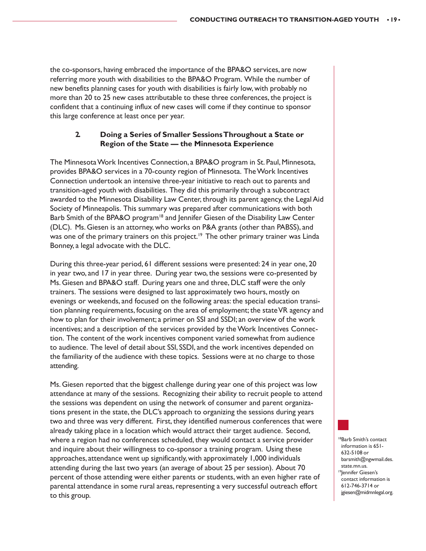the co-sponsors, having embraced the importance of the BPA&O services, are now referring more youth with disabilities to the BPA&O Program. While the number of new benefits planning cases for youth with disabilities is fairly low, with probably no more than 20 to 25 new cases attributable to these three conferences, the project is confident that a continuing influx of new cases will come if they continue to sponsor this large conference at least once per year.

# **2. Doing a Series of Smaller Sessions Throughout a State or Region of the State — the Minnesota Experience**

The Minnesota Work Incentives Connection, a BPA&O program in St. Paul, Minnesota, provides BPA&O services in a 70-county region of Minnesota. The Work Incentives Connection undertook an intensive three-year initiative to reach out to parents and transition-aged youth with disabilities. They did this primarily through a subcontract awarded to the Minnesota Disability Law Center, through its parent agency, the Legal Aid Society of Minneapolis. This summary was prepared after communications with both Barb Smith of the BPA&O program<sup>18</sup> and Jennifer Giesen of the Disability Law Center (DLC). Ms. Giesen is an attorney, who works on P&A grants (other than PABSS), and was one of the primary trainers on this project.<sup>19</sup> The other primary trainer was Linda Bonney, a legal advocate with the DLC.

During this three-year period, 61 different sessions were presented: 24 in year one, 20 in year two, and 17 in year three. During year two, the sessions were co-presented by Ms. Giesen and BPA&O staff. During years one and three, DLC staff were the only trainers. The sessions were designed to last approximately two hours, mostly on evenings or weekends, and focused on the following areas: the special education transition planning requirements, focusing on the area of employment; the state VR agency and how to plan for their involvement; a primer on SSI and SSDI; an overview of the work incentives; and a description of the services provided by the Work Incentives Connection. The content of the work incentives component varied somewhat from audience to audience. The level of detail about SSI, SSDI, and the work incentives depended on the familiarity of the audience with these topics. Sessions were at no charge to those attending.

Ms. Giesen reported that the biggest challenge during year one of this project was low attendance at many of the sessions. Recognizing their ability to recruit people to attend the sessions was dependent on using the network of consumer and parent organizations present in the state, the DLC's approach to organizing the sessions during years two and three was very different. First, they identified numerous conferences that were already taking place in a location which would attract their target audience. Second, where a region had no conferences scheduled, they would contact a service provider and inquire about their willingness to co-sponsor a training program. Using these approaches, attendance went up significantly, with approximately 1,000 individuals attending during the last two years (an average of about 25 per session). About 70 percent of those attending were either parents or students, with an even higher rate of parental attendance in some rural areas, representing a very successful outreach effort to this group.

<sup>3</sup>Barb Smith's contact information is 651- 632-5108 or barsmith@ngwmail.des. state.mn.us. <sup>19</sup> Jennifer Giesen's contact information is 612-746-3714 or jgiesen@midmnlegal.org.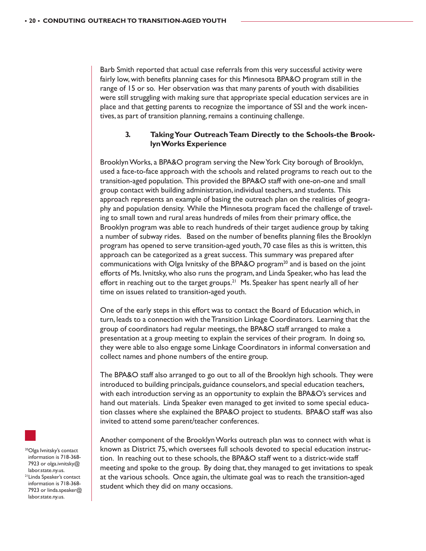Barb Smith reported that actual case referrals from this very successful activity were fairly low, with benefits planning cases for this Minnesota BPA&O program still in the range of 15 or so. Her observation was that many parents of youth with disabilities were still struggling with making sure that appropriate special education services are in place and that getting parents to recognize the importance of SSI and the work incentives, as part of transition planning, remains a continuing challenge.

### **3. Taking Your Outreach Team Directly to the Schools-the Brooklyn Works Experience**

Brooklyn Works, a BPA&O program serving the New York City borough of Brooklyn, used a face-to-face approach with the schools and related programs to reach out to the transition-aged population. This provided the BPA&O staff with one-on-one and small group contact with building administration, individual teachers, and students. This approach represents an example of basing the outreach plan on the realities of geography and population density. While the Minnesota program faced the challenge of traveling to small town and rural areas hundreds of miles from their primary office, the Brooklyn program was able to reach hundreds of their target audience group by taking a number of subway rides. Based on the number of benefits planning files the Brooklyn program has opened to serve transition-aged youth, 70 case files as this is written, this approach can be categorized as a great success. This summary was prepared after communications with Olga Ivnitsky of the BPA&O program<sup>20</sup> and is based on the joint efforts of Ms. Ivnitsky, who also runs the program, and Linda Speaker, who has lead the effort in reaching out to the target groups.<sup>21</sup> Ms. Speaker has spent nearly all of her time on issues related to transition-aged youth.

One of the early steps in this effort was to contact the Board of Education which, in turn, leads to a connection with the Transition Linkage Coordinators. Learning that the group of coordinators had regular meetings, the BPA&O staff arranged to make a presentation at a group meeting to explain the services of their program. In doing so, they were able to also engage some Linkage Coordinators in informal conversation and collect names and phone numbers of the entire group.

The BPA&O staff also arranged to go out to all of the Brooklyn high schools. They were introduced to building principals, guidance counselors, and special education teachers, with each introduction serving as an opportunity to explain the BPA&O's services and hand out materials. Linda Speaker even managed to get invited to some special education classes where she explained the BPA&O project to students. BPA&O staff was also invited to attend some parent/teacher conferences.

Another component of the Brooklyn Works outreach plan was to connect with what is known as District 75, which oversees full schools devoted to special education instruction. In reaching out to these schools, the BPA&O staff went to a district-wide staff meeting and spoke to the group. By doing that, they managed to get invitations to speak at the various schools. Once again, the ultimate goal was to reach the transition-aged student which they did on many occasions.



<sup>20</sup>Olga Ivnitsky's contact information is 718-368- 7923 or olga.ivnitsky@ labor.state.ny.us.

<sup>21</sup> Linda Speaker's contact information is 718-368- 7923 or linda.speaker@ labor.state.ny.us.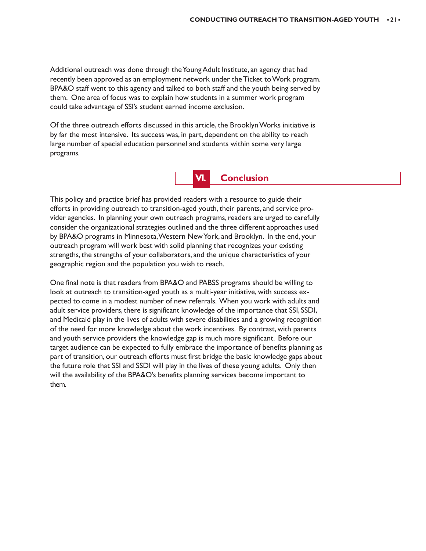Additional outreach was done through the Young Adult Institute, an agency that had recently been approved as an employment network under the Ticket to Work program. BPA&O staff went to this agency and talked to both staff and the youth being served by them. One area of focus was to explain how students in a summer work program could take advantage of SSI's student earned income exclusion.

Of the three outreach efforts discussed in this article, the Brooklyn Works initiative is by far the most intensive. Its success was, in part, dependent on the ability to reach large number of special education personnel and students within some very large programs.



This policy and practice brief has provided readers with a resource to guide their efforts in providing outreach to transition-aged youth, their parents, and service provider agencies. In planning your own outreach programs, readers are urged to carefully consider the organizational strategies outlined and the three different approaches used by BPA&O programs in Minnesota, Western New York, and Brooklyn. In the end, your outreach program will work best with solid planning that recognizes your existing strengths, the strengths of your collaborators, and the unique characteristics of your geographic region and the population you wish to reach.

One final note is that readers from BPA&O and PABSS programs should be willing to look at outreach to transition-aged youth as a multi-year initiative, with success expected to come in a modest number of new referrals. When you work with adults and adult service providers, there is significant knowledge of the importance that SSI, SSDI, and Medicaid play in the lives of adults with severe disabilities and a growing recognition of the need for more knowledge about the work incentives. By contrast, with parents and youth service providers the knowledge gap is much more significant. Before our target audience can be expected to fully embrace the importance of benefits planning as part of transition, our outreach efforts must first bridge the basic knowledge gaps about the future role that SSI and SSDI will play in the lives of these young adults. Only then will the availability of the BPA&O's benefits planning services become important to them.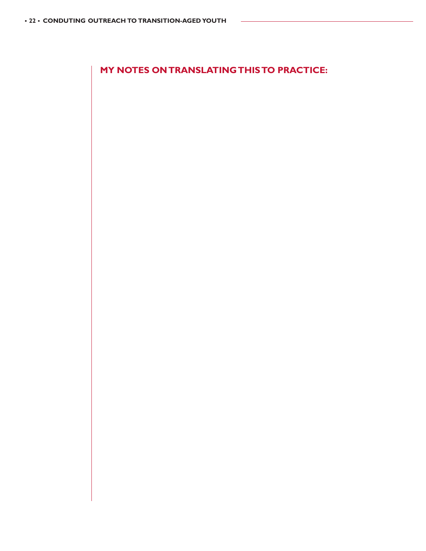**MY NOTES ON TRANSLATING THIS TO PRACTICE:**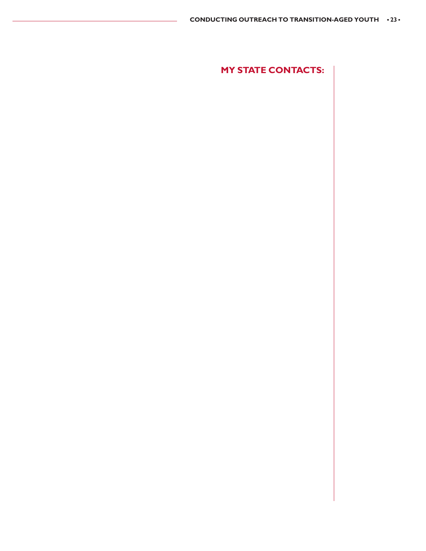**MY STATE CONTACTS:**